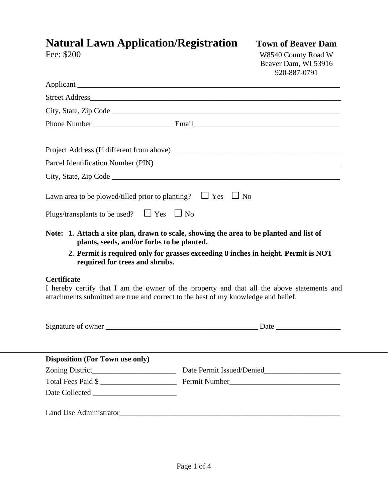## **Natural Lawn Application/Registration Town of Beaver Dam**<br>Fee: \$200 W8540 County Road W

W8540 County Road W Beaver Dam, WI 53916 920-887-0791

|                                                                                                                                                                                                                             | City, State, Zip Code $\_\_$ |  |
|-----------------------------------------------------------------------------------------------------------------------------------------------------------------------------------------------------------------------------|------------------------------|--|
|                                                                                                                                                                                                                             |                              |  |
|                                                                                                                                                                                                                             |                              |  |
|                                                                                                                                                                                                                             |                              |  |
|                                                                                                                                                                                                                             |                              |  |
| Lawn area to be plowed/tilled prior to planting? $\Box$ Yes $\Box$ No                                                                                                                                                       |                              |  |
| Plugs/transplants to be used? $\Box$ Yes $\Box$ No                                                                                                                                                                          |                              |  |
| Note: 1. Attach a site plan, drawn to scale, showing the area to be planted and list of<br>plants, seeds, and/or forbs to be planted.<br>2. Permit is required only for grasses exceeding 8 inches in height. Permit is NOT |                              |  |
| required for trees and shrubs.                                                                                                                                                                                              |                              |  |
| <b>Certificate</b><br>I hereby certify that I am the owner of the property and that all the above statements and<br>attachments submitted are true and correct to the best of my knowledge and belief.                      |                              |  |
|                                                                                                                                                                                                                             |                              |  |
| <b>Disposition (For Town use only)</b>                                                                                                                                                                                      |                              |  |
|                                                                                                                                                                                                                             |                              |  |
|                                                                                                                                                                                                                             | Total Fees Paid \$           |  |
|                                                                                                                                                                                                                             |                              |  |
|                                                                                                                                                                                                                             |                              |  |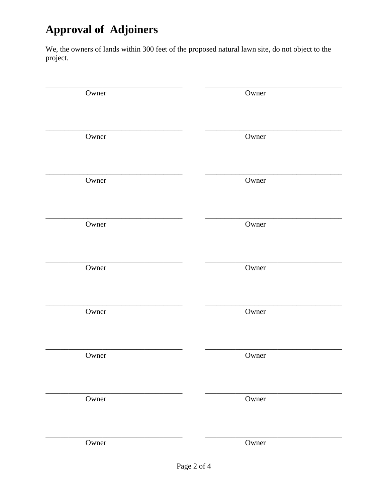## **Approval of Adjoiners**

We, the owners of lands within 300 feet of the proposed natural lawn site, do not object to the project.

| Owner | Owner |
|-------|-------|
| Owner | Owner |
| Owner | Owner |
| Owner | Owner |
| Owner | Owner |
| Owner | Owner |
| Owner | Owner |
| Owner | Owner |
| Owner | Owner |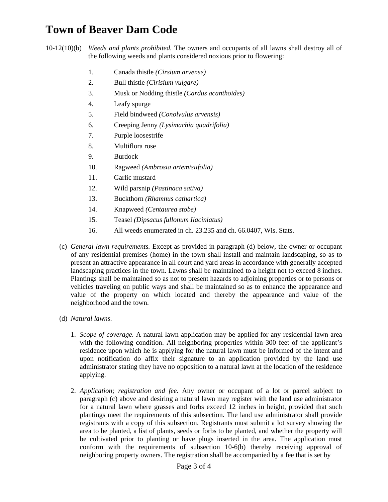## **Town of Beaver Dam Code**

10-12(10)(b) *Weeds and plants prohibited.* The owners and occupants of all lawns shall destroy all of the following weeds and plants considered noxious prior to flowering:

- 1. Canada thistle *(Cirsium arvense)*
- 2. Bull thistle *(Cirisium vulgare)*
- 3. Musk or Nodding thistle *(Cardus acanthoides)*
- 4. Leafy spurge
- 5. Field bindweed *(Conolvulus arvensis)*
- 6. Creeping Jenny *(Lysimachia quadrifolia)*
- 7. Purple loosestrife
- 8. Multiflora rose
- 9. Burdock
- 10. Ragweed *(Ambrosia artemisiifolia)*
- 11. Garlic mustard
- 12. Wild parsnip *(Pastinaca sativa)*
- 13. Buckthorn *(Rhamnus cathartica)*
- 14. Knapweed *(Centaurea stobe)*
- 15. Teasel *(Dipsacus fullonum Ilaciniatus)*
- 16. All weeds enumerated in ch. 23.235 and ch. 66.0407, Wis. Stats.
- (c) *General lawn requirements.* Except as provided in paragraph (d) below, the owner or occupant of any residential premises (home) in the town shall install and maintain landscaping, so as to present an attractive appearance in all court and yard areas in accordance with generally accepted landscaping practices in the town. Lawns shall be maintained to a height not to exceed 8 inches. Plantings shall be maintained so as not to present hazards to adjoining properties or to persons or vehicles traveling on public ways and shall be maintained so as to enhance the appearance and value of the property on which located and thereby the appearance and value of the neighborhood and the town.
- (d) *Natural lawns.* 
	- 1. *Scope of coverage.* A natural lawn application may be applied for any residential lawn area with the following condition. All neighboring properties within 300 feet of the applicant's residence upon which he is applying for the natural lawn must be informed of the intent and upon notification do affix their signature to an application provided by the land use administrator stating they have no opposition to a natural lawn at the location of the residence applying.
	- 2. *Application; registration and fee.* Any owner or occupant of a lot or parcel subject to paragraph (c) above and desiring a natural lawn may register with the land use administrator for a natural lawn where grasses and forbs exceed 12 inches in height, provided that such plantings meet the requirements of this subsection. The land use administrator shall provide registrants with a copy of this subsection. Registrants must submit a lot survey showing the area to be planted, a list of plants, seeds or forbs to be planted, and whether the property will be cultivated prior to planting or have plugs inserted in the area. The application must conform with the requirements of subsection 10-6(b) thereby receiving approval of neighboring property owners. The registration shall be accompanied by a fee that is set by